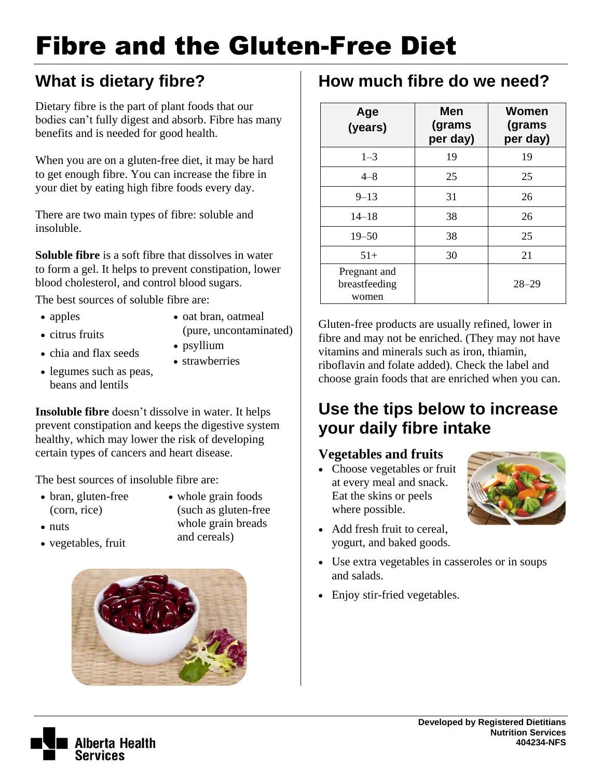# Fibre and the Gluten-Free Diet

# **What is dietary fibre?**

Dietary fibre is the part of plant foods that our bodies can't fully digest and absorb. Fibre has many benefits and is needed for good health.

When you are on a gluten-free diet, it may be hard to get enough fibre. You can increase the fibre in your diet by eating high fibre foods every day.

There are two main types of fibre: soluble and insoluble.

**Soluble fibre** is a soft fibre that dissolves in water to form a gel. It helps to prevent constipation, lower blood cholesterol, and control blood sugars.

The best sources of soluble fibre are:

• apples

- oat bran, oatmeal
- citrus fruits
- (pure, uncontaminated) psyllium
- chia and flax seeds
- strawberries
- legumes such as peas, beans and lentils

**Insoluble fibre** doesn't dissolve in water. It helps prevent constipation and keeps the digestive system healthy, which may lower the risk of developing certain types of cancers and heart disease.

The best sources of insoluble fibre are:

• bran, gluten-free (corn, rice)

• vegetables, fruit

• nuts

- whole grain foods (such as gluten-free whole grain breads and cereals)
- 

## **How much fibre do we need?**

| Age<br>(years)                         | <b>Men</b><br>(grams<br>per day) | Women<br>(grams<br>per day) |
|----------------------------------------|----------------------------------|-----------------------------|
| $1 - 3$                                | 19                               | 19                          |
| $4 - 8$                                | 25                               | 25                          |
| $9 - 13$                               | 31                               | 26                          |
| $14 - 18$                              | 38                               | 26                          |
| $19 - 50$                              | 38                               | 25                          |
| $51+$                                  | 30                               | 21                          |
| Pregnant and<br>breastfeeding<br>women |                                  | $28 - 29$                   |

Gluten-free products are usually refined, lower in fibre and may not be enriched. (They may not have vitamins and minerals such as iron, thiamin, riboflavin and folate added). Check the label and choose grain foods that are enriched when you can.

### **Use the tips below to increase your daily fibre intake**

#### **Vegetables and fruits**

- Choose vegetables or fruit at every meal and snack. Eat the skins or peels where possible.
- Add fresh fruit to cereal, yogurt, and baked goods.
- Use extra vegetables in casseroles or in soups and salads.
- Enjoy stir-fried vegetables.



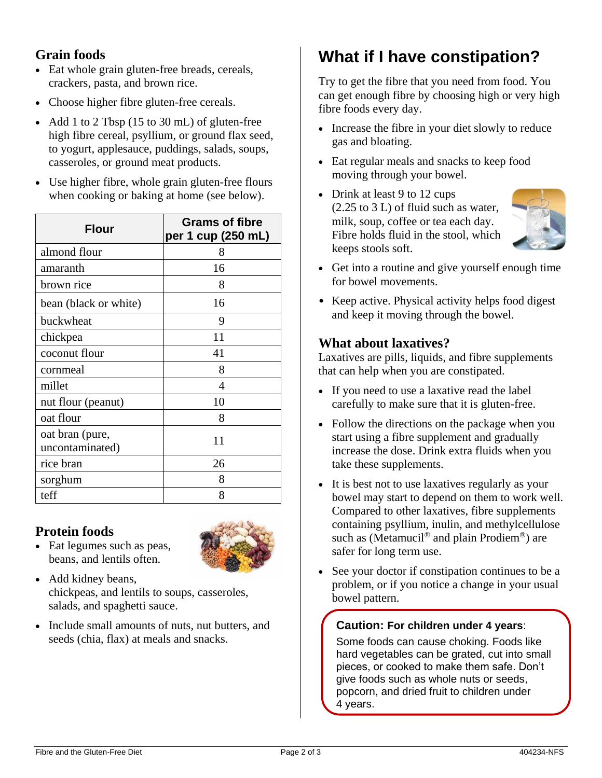#### **Grain foods**

- Eat whole grain gluten-free breads, cereals, crackers, pasta, and brown rice.
- Choose higher fibre gluten-free cereals.
- Add 1 to 2 Tbsp (15 to 30 mL) of gluten-free high fibre cereal, psyllium, or ground flax seed, to yogurt, applesauce, puddings, salads, soups, casseroles, or ground meat products.
- Use higher fibre, whole grain gluten-free flours when cooking or baking at home (see below).

| <b>Flour</b>                       | <b>Grams of fibre</b><br>per 1 cup (250 mL) |  |
|------------------------------------|---------------------------------------------|--|
| almond flour                       | 8                                           |  |
| amaranth                           | 16                                          |  |
| brown rice                         | 8                                           |  |
| bean (black or white)              | 16                                          |  |
| buckwheat                          | 9                                           |  |
| chickpea                           | 11                                          |  |
| coconut flour                      | 41                                          |  |
| cornmeal                           | 8                                           |  |
| millet                             | 4                                           |  |
| nut flour (peanut)                 | 10                                          |  |
| oat flour                          | 8                                           |  |
| oat bran (pure,<br>uncontaminated) | 11                                          |  |
| rice bran                          | 26                                          |  |
| sorghum                            | 8                                           |  |
| teff                               | 8                                           |  |

#### **Protein foods**



• Eat legumes such as peas, beans, and lentils often.

• Add kidney beans, chickpeas, and lentils to soups, casseroles, salads, and spaghetti sauce.

• Include small amounts of nuts, nut butters, and seeds (chia, flax) at meals and snacks.

# **What if I have constipation?**

Try to get the fibre that you need from food. You can get enough fibre by choosing high or very high fibre foods every day.

- Increase the fibre in your diet slowly to reduce gas and bloating.
- Eat regular meals and snacks to keep food moving through your bowel.
- Drink at least 9 to 12 cups (2.25 to 3 L) of fluid such as water, milk, soup, coffee or tea each day. Fibre holds fluid in the stool, which keeps stools soft.



- Get into a routine and give yourself enough time for bowel movements.
- Keep active. Physical activity helps food digest and keep it moving through the bowel.

#### **What about laxatives?**

Laxatives are pills, liquids, and fibre supplements that can help when you are constipated.

- If you need to use a laxative read the label carefully to make sure that it is gluten-free.
- Follow the directions on the package when you start using a fibre supplement and gradually increase the dose. Drink extra fluids when you take these supplements.
- It is best not to use laxatives regularly as your bowel may start to depend on them to work well. Compared to other laxatives, fibre supplements containing psyllium, inulin, and methylcellulose such as (Metamucil<sup>®</sup> and plain Prodiem<sup>®</sup>) are safer for long term use.
- See your doctor if constipation continues to be a problem, or if you notice a change in your usual bowel pattern.

#### **Caution: For children under 4 years**:

Some foods can cause choking. Foods like hard vegetables can be grated, cut into small pieces, or cooked to make them safe. Don't give foods such as whole nuts or seeds, popcorn, and dried fruit to children under 4 years.